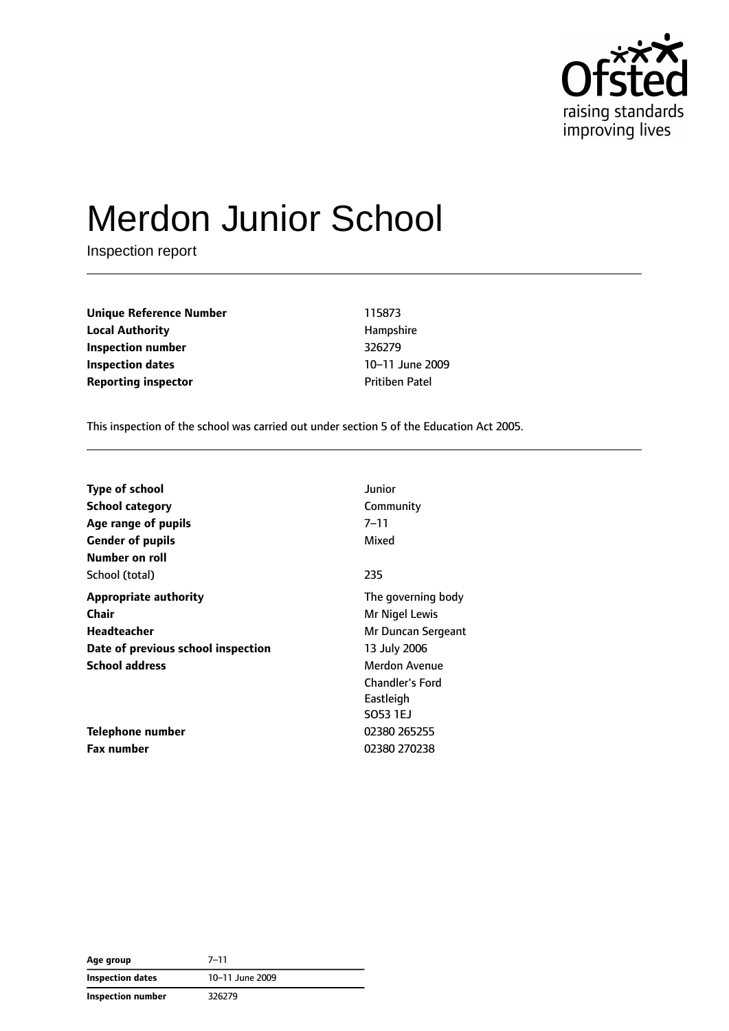

# Merdon Junior School

Inspection report

**Unique Reference Number** 115873 **Local Authority Hampshire Inspection number** 326279 **Inspection dates** 10–11 June 2009 **Reporting inspector CONFIDENTIAL PROPERTY PROPERTY** Pritiben Patel

This inspection of the school was carried out under section 5 of the Education Act 2005.

| <b>Type of school</b>              | Junior                 |
|------------------------------------|------------------------|
| <b>School category</b>             | Community              |
| Age range of pupils                | 7–11                   |
| <b>Gender of pupils</b>            | Mixed                  |
| Number on roll                     |                        |
| School (total)                     | 235                    |
| <b>Appropriate authority</b>       | The governing body     |
| Chair                              | Mr Nigel Lewis         |
| Headteacher                        | Mr Duncan Sergeant     |
| Date of previous school inspection | 13 July 2006           |
| <b>School address</b>              | <b>Merdon Avenue</b>   |
|                                    | <b>Chandler's Ford</b> |
|                                    | Eastleigh              |
|                                    | SO53 1EJ               |
| Telephone number                   | 02380 265255           |
| <b>Fax number</b>                  | 02380 270238           |

| Age group               | $7 - 11$        |  |
|-------------------------|-----------------|--|
| <b>Inspection dates</b> | 10-11 June 2009 |  |
| Inspection number       | 326279          |  |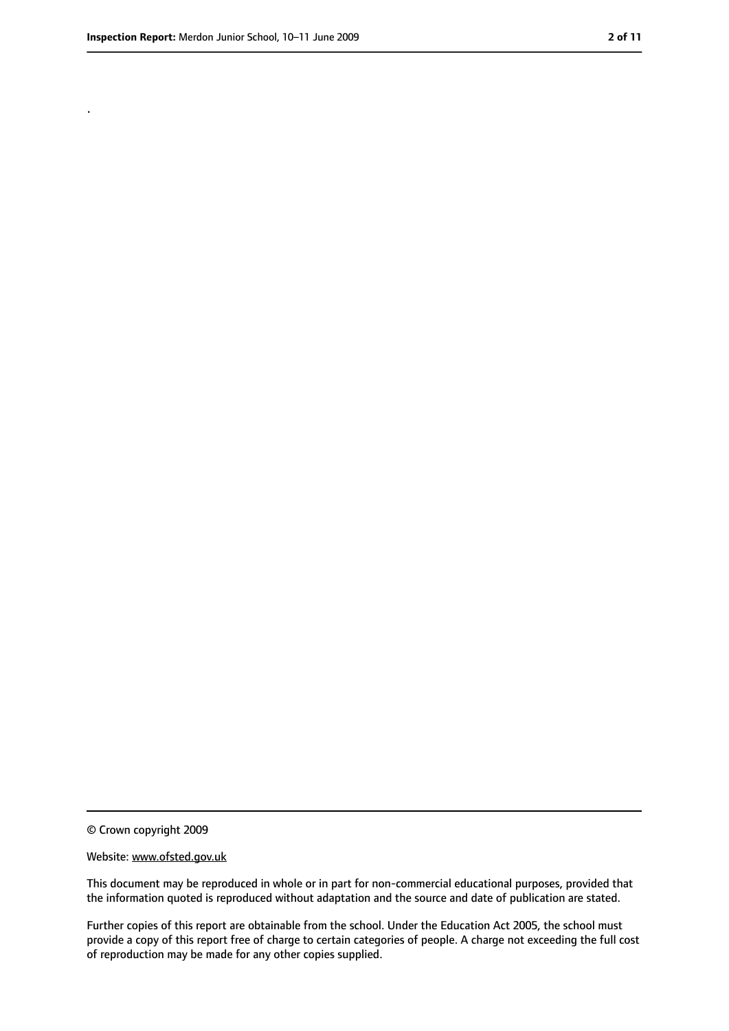.

<sup>©</sup> Crown copyright 2009

Website: www.ofsted.gov.uk

This document may be reproduced in whole or in part for non-commercial educational purposes, provided that the information quoted is reproduced without adaptation and the source and date of publication are stated.

Further copies of this report are obtainable from the school. Under the Education Act 2005, the school must provide a copy of this report free of charge to certain categories of people. A charge not exceeding the full cost of reproduction may be made for any other copies supplied.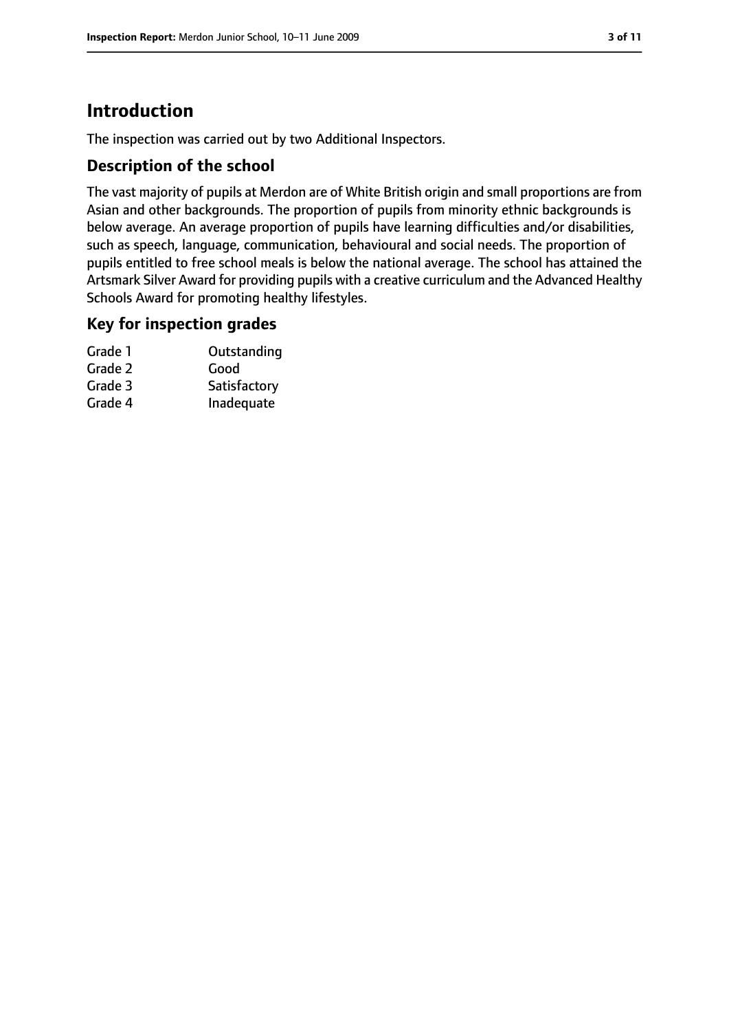### **Introduction**

The inspection was carried out by two Additional Inspectors.

#### **Description of the school**

The vast majority of pupils at Merdon are of White British origin and small proportions are from Asian and other backgrounds. The proportion of pupils from minority ethnic backgrounds is below average. An average proportion of pupils have learning difficulties and/or disabilities, such as speech, language, communication, behavioural and social needs. The proportion of pupils entitled to free school meals is below the national average. The school has attained the Artsmark Silver Award for providing pupils with a creative curriculum and the Advanced Healthy Schools Award for promoting healthy lifestyles.

#### **Key for inspection grades**

| Outstanding  |
|--------------|
| Good         |
| Satisfactory |
| Inadequate   |
|              |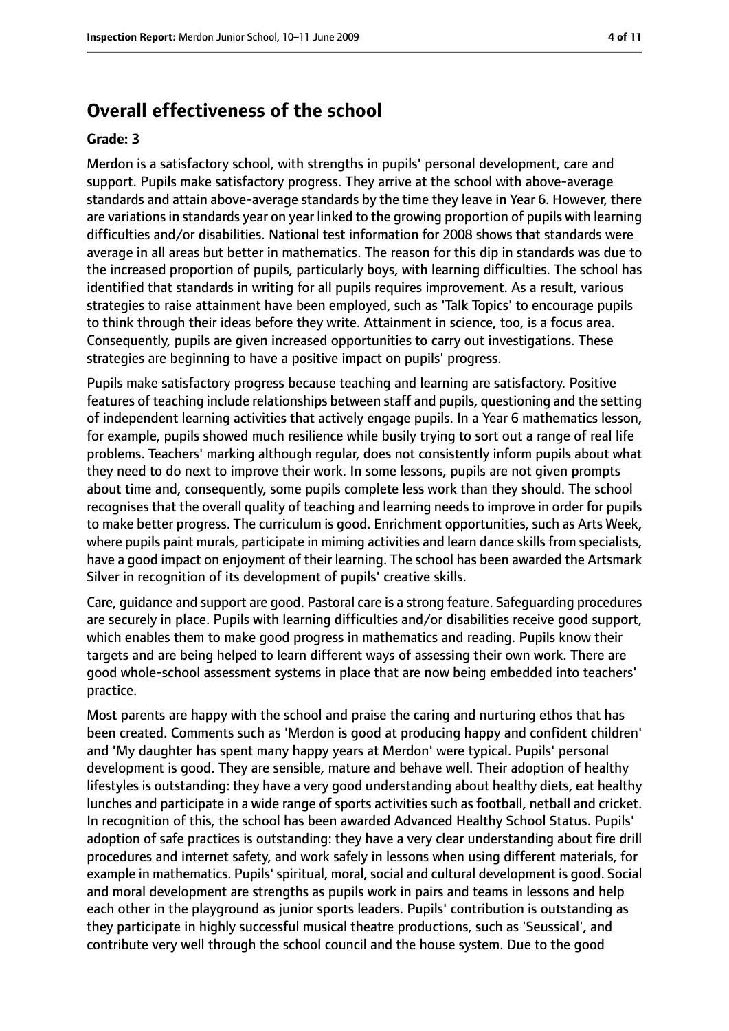#### **Overall effectiveness of the school**

#### **Grade: 3**

Merdon is a satisfactory school, with strengths in pupils' personal development, care and support. Pupils make satisfactory progress. They arrive at the school with above-average standards and attain above-average standards by the time they leave in Year 6. However, there are variations in standards year on year linked to the growing proportion of pupils with learning difficulties and/or disabilities. National test information for 2008 shows that standards were average in all areas but better in mathematics. The reason for this dip in standards was due to the increased proportion of pupils, particularly boys, with learning difficulties. The school has identified that standards in writing for all pupils requires improvement. As a result, various strategies to raise attainment have been employed, such as 'Talk Topics' to encourage pupils to think through their ideas before they write. Attainment in science, too, is a focus area. Consequently, pupils are given increased opportunities to carry out investigations. These strategies are beginning to have a positive impact on pupils' progress.

Pupils make satisfactory progress because teaching and learning are satisfactory. Positive features of teaching include relationships between staff and pupils, questioning and the setting of independent learning activities that actively engage pupils. In a Year 6 mathematics lesson, for example, pupils showed much resilience while busily trying to sort out a range of real life problems. Teachers' marking although regular, does not consistently inform pupils about what they need to do next to improve their work. In some lessons, pupils are not given prompts about time and, consequently, some pupils complete less work than they should. The school recognises that the overall quality of teaching and learning needs to improve in order for pupils to make better progress. The curriculum is good. Enrichment opportunities, such as Arts Week, where pupils paint murals, participate in miming activities and learn dance skills from specialists, have a good impact on enjoyment of their learning. The school has been awarded the Artsmark Silver in recognition of its development of pupils' creative skills.

Care, guidance and support are good. Pastoral care is a strong feature. Safeguarding procedures are securely in place. Pupils with learning difficulties and/or disabilities receive good support, which enables them to make good progress in mathematics and reading. Pupils know their targets and are being helped to learn different ways of assessing their own work. There are good whole-school assessment systems in place that are now being embedded into teachers' practice.

Most parents are happy with the school and praise the caring and nurturing ethos that has been created. Comments such as 'Merdon is good at producing happy and confident children' and 'My daughter has spent many happy years at Merdon' were typical. Pupils' personal development is good. They are sensible, mature and behave well. Their adoption of healthy lifestyles is outstanding: they have a very good understanding about healthy diets, eat healthy lunches and participate in a wide range of sports activities such as football, netball and cricket. In recognition of this, the school has been awarded Advanced Healthy School Status. Pupils' adoption of safe practices is outstanding: they have a very clear understanding about fire drill procedures and internet safety, and work safely in lessons when using different materials, for example in mathematics. Pupils' spiritual, moral, social and cultural development is good. Social and moral development are strengths as pupils work in pairs and teams in lessons and help each other in the playground as junior sports leaders. Pupils' contribution is outstanding as they participate in highly successful musical theatre productions, such as 'Seussical', and contribute very well through the school council and the house system. Due to the good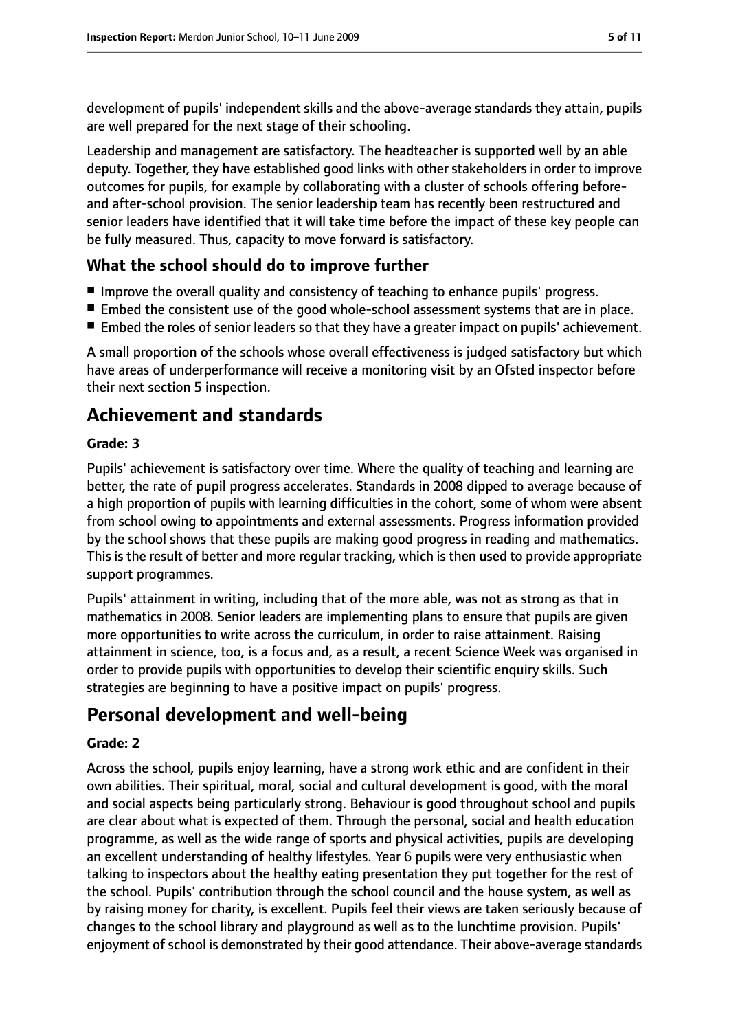development of pupils' independent skills and the above-average standards they attain, pupils are well prepared for the next stage of their schooling.

Leadership and management are satisfactory. The headteacher is supported well by an able deputy. Together, they have established good links with other stakeholders in order to improve outcomes for pupils, for example by collaborating with a cluster of schools offering beforeand after-school provision. The senior leadership team has recently been restructured and senior leaders have identified that it will take time before the impact of these key people can be fully measured. Thus, capacity to move forward is satisfactory.

#### **What the school should do to improve further**

- Improve the overall quality and consistency of teaching to enhance pupils' progress.
- Embed the consistent use of the good whole-school assessment systems that are in place.
- Embed the roles of senior leaders so that they have a greater impact on pupils' achievement.

A small proportion of the schools whose overall effectiveness is judged satisfactory but which have areas of underperformance will receive a monitoring visit by an Ofsted inspector before their next section 5 inspection.

### **Achievement and standards**

#### **Grade: 3**

Pupils' achievement is satisfactory over time. Where the quality of teaching and learning are better, the rate of pupil progress accelerates. Standards in 2008 dipped to average because of a high proportion of pupils with learning difficulties in the cohort, some of whom were absent from school owing to appointments and external assessments. Progress information provided by the school shows that these pupils are making good progress in reading and mathematics. This is the result of better and more regular tracking, which is then used to provide appropriate support programmes.

Pupils' attainment in writing, including that of the more able, was not as strong as that in mathematics in 2008. Senior leaders are implementing plans to ensure that pupils are given more opportunities to write across the curriculum, in order to raise attainment. Raising attainment in science, too, is a focus and, as a result, a recent Science Week was organised in order to provide pupils with opportunities to develop their scientific enquiry skills. Such strategies are beginning to have a positive impact on pupils' progress.

### **Personal development and well-being**

#### **Grade: 2**

Across the school, pupils enjoy learning, have a strong work ethic and are confident in their own abilities. Their spiritual, moral, social and cultural development is good, with the moral and social aspects being particularly strong. Behaviour is good throughout school and pupils are clear about what is expected of them. Through the personal, social and health education programme, as well as the wide range of sports and physical activities, pupils are developing an excellent understanding of healthy lifestyles. Year 6 pupils were very enthusiastic when talking to inspectors about the healthy eating presentation they put together for the rest of the school. Pupils' contribution through the school council and the house system, as well as by raising money for charity, is excellent. Pupils feel their views are taken seriously because of changes to the school library and playground as well as to the lunchtime provision. Pupils' enjoyment of school is demonstrated by their good attendance. Their above-average standards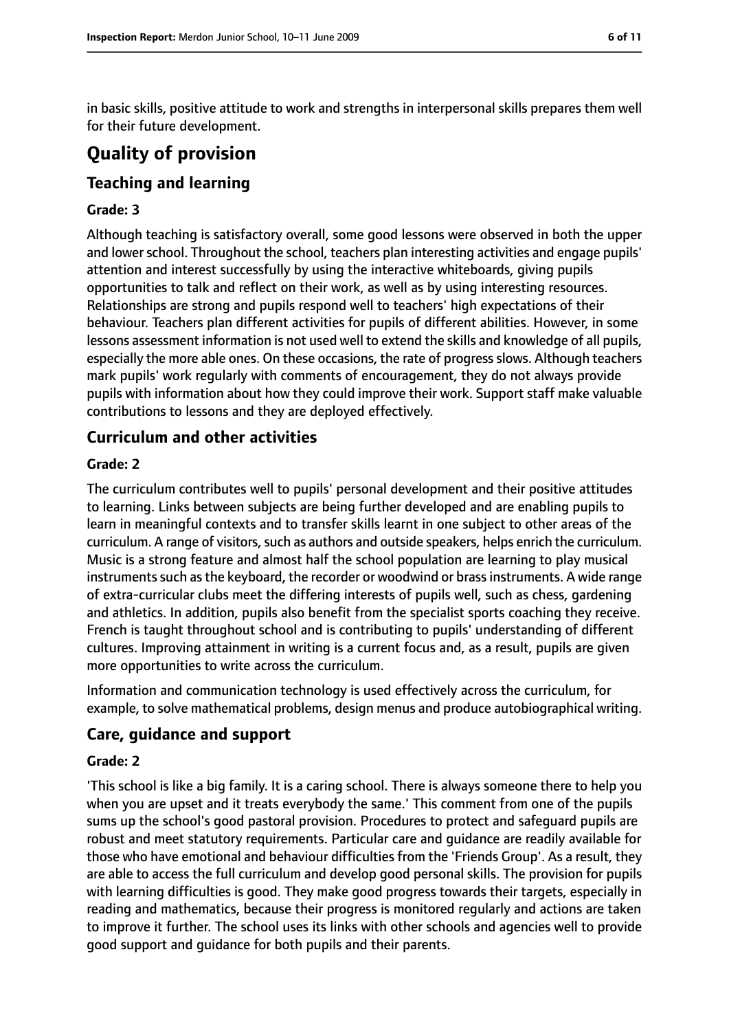in basic skills, positive attitude to work and strengths in interpersonal skills prepares them well for their future development.

### **Quality of provision**

#### **Teaching and learning**

#### **Grade: 3**

Although teaching is satisfactory overall, some good lessons were observed in both the upper and lower school. Throughout the school, teachers plan interesting activities and engage pupils' attention and interest successfully by using the interactive whiteboards, giving pupils opportunities to talk and reflect on their work, as well as by using interesting resources. Relationships are strong and pupils respond well to teachers' high expectations of their behaviour. Teachers plan different activities for pupils of different abilities. However, in some lessons assessment information is not used well to extend the skills and knowledge of all pupils, especially the more able ones. On these occasions, the rate of progress slows. Although teachers mark pupils' work regularly with comments of encouragement, they do not always provide pupils with information about how they could improve their work. Support staff make valuable contributions to lessons and they are deployed effectively.

#### **Curriculum and other activities**

#### **Grade: 2**

The curriculum contributes well to pupils' personal development and their positive attitudes to learning. Links between subjects are being further developed and are enabling pupils to learn in meaningful contexts and to transfer skills learnt in one subject to other areas of the curriculum. A range of visitors, such as authors and outside speakers, helps enrich the curriculum. Music is a strong feature and almost half the school population are learning to play musical instruments such as the keyboard, the recorder or woodwind or brass instruments. A wide range of extra-curricular clubs meet the differing interests of pupils well, such as chess, gardening and athletics. In addition, pupils also benefit from the specialist sports coaching they receive. French is taught throughout school and is contributing to pupils' understanding of different cultures. Improving attainment in writing is a current focus and, as a result, pupils are given more opportunities to write across the curriculum.

Information and communication technology is used effectively across the curriculum, for example, to solve mathematical problems, design menus and produce autobiographical writing.

#### **Care, guidance and support**

#### **Grade: 2**

'This school is like a big family. It is a caring school. There is always someone there to help you when you are upset and it treats everybody the same.' This comment from one of the pupils sums up the school's good pastoral provision. Procedures to protect and safeguard pupils are robust and meet statutory requirements. Particular care and guidance are readily available for those who have emotional and behaviour difficulties from the 'Friends Group'. As a result, they are able to access the full curriculum and develop good personal skills. The provision for pupils with learning difficulties is good. They make good progress towards their targets, especially in reading and mathematics, because their progress is monitored regularly and actions are taken to improve it further. The school uses its links with other schools and agencies well to provide good support and guidance for both pupils and their parents.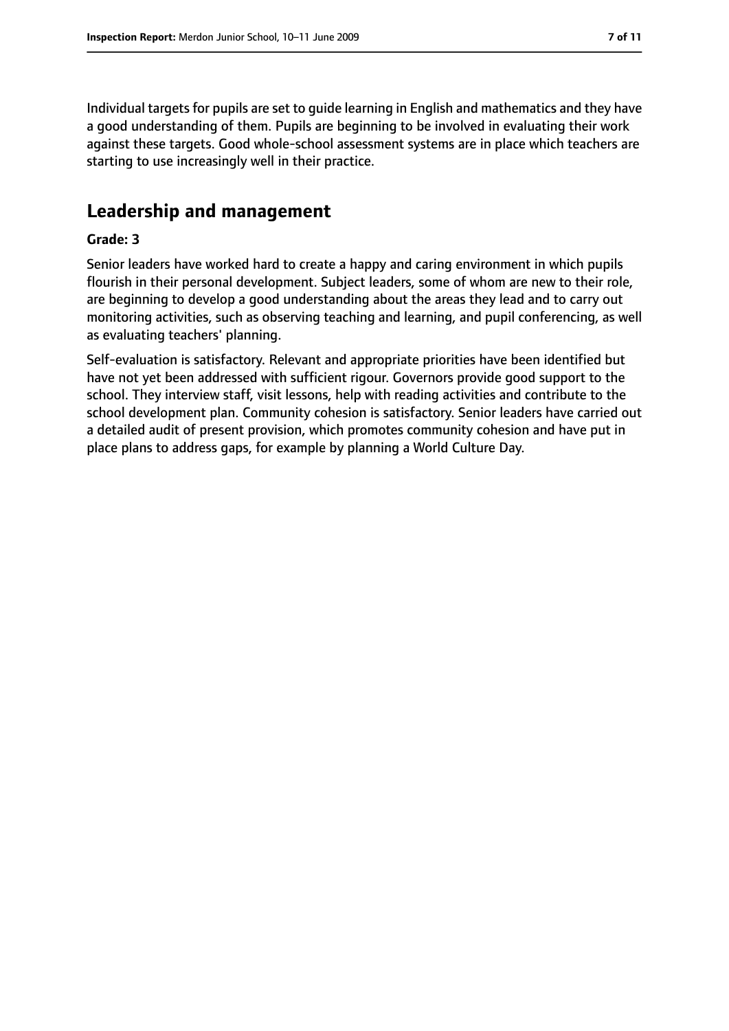Individual targets for pupils are set to guide learning in English and mathematics and they have a good understanding of them. Pupils are beginning to be involved in evaluating their work against these targets. Good whole-school assessment systems are in place which teachers are starting to use increasingly well in their practice.

### **Leadership and management**

#### **Grade: 3**

Senior leaders have worked hard to create a happy and caring environment in which pupils flourish in their personal development. Subject leaders, some of whom are new to their role, are beginning to develop a good understanding about the areas they lead and to carry out monitoring activities, such as observing teaching and learning, and pupil conferencing, as well as evaluating teachers' planning.

Self-evaluation is satisfactory. Relevant and appropriate priorities have been identified but have not yet been addressed with sufficient rigour. Governors provide good support to the school. They interview staff, visit lessons, help with reading activities and contribute to the school development plan. Community cohesion is satisfactory. Senior leaders have carried out a detailed audit of present provision, which promotes community cohesion and have put in place plans to address gaps, for example by planning a World Culture Day.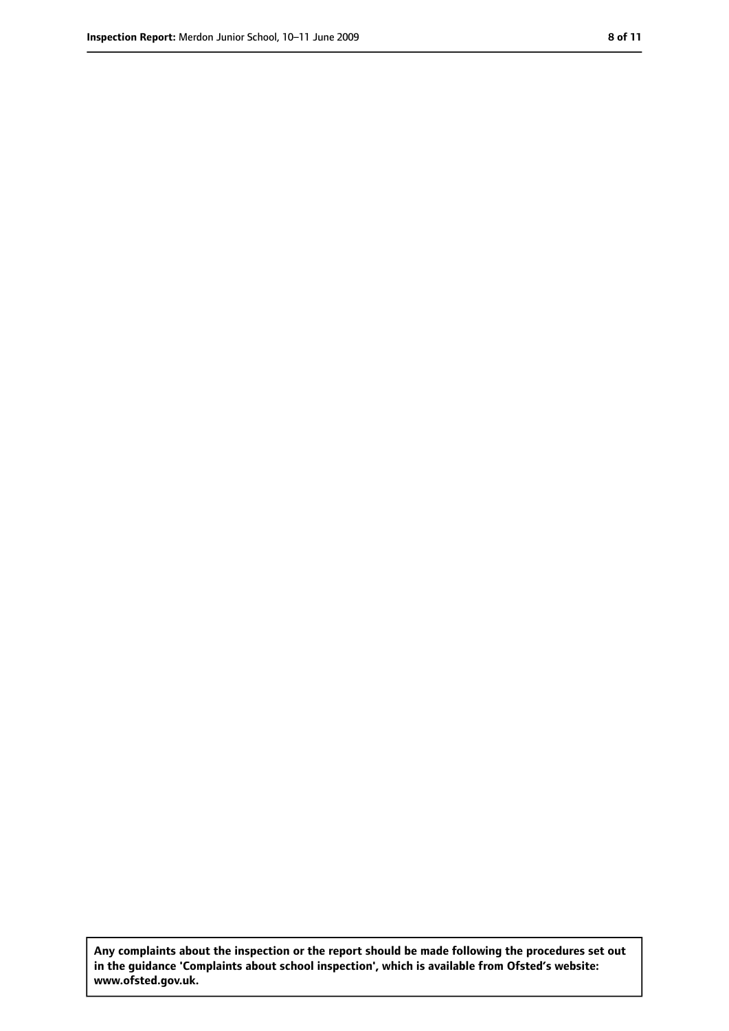**Any complaints about the inspection or the report should be made following the procedures set out in the guidance 'Complaints about school inspection', which is available from Ofsted's website: www.ofsted.gov.uk.**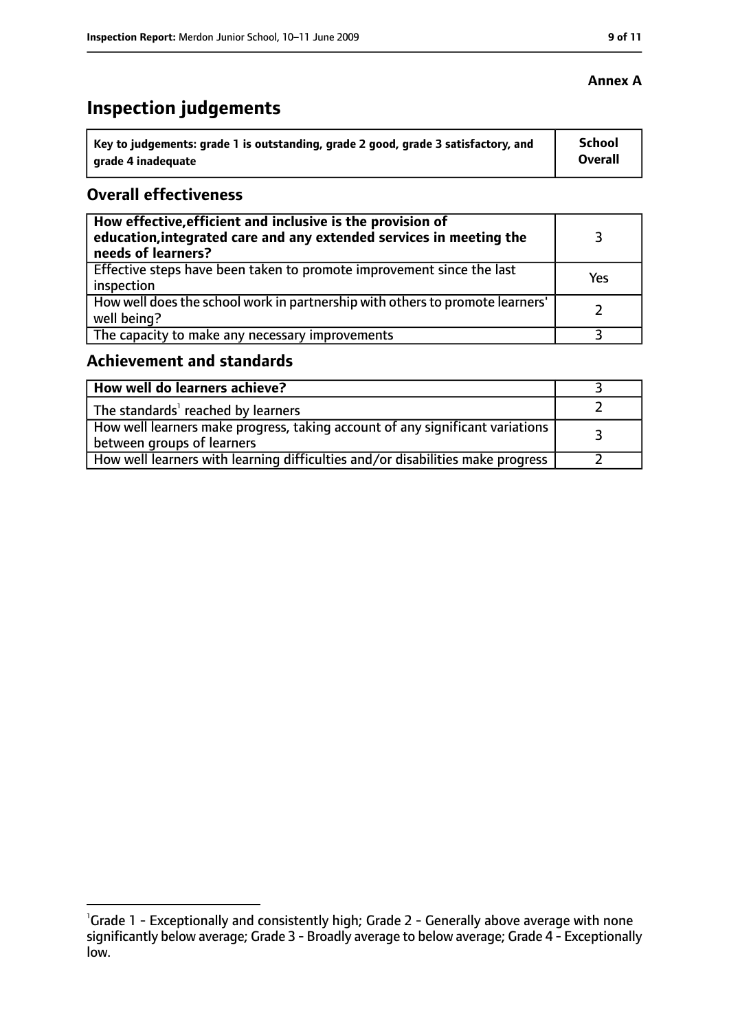## **Inspection judgements**

| Key to judgements: grade 1 is outstanding, grade 2 good, grade 3 satisfactory, and | <b>School</b>  |
|------------------------------------------------------------------------------------|----------------|
| grade 4 inadequate                                                                 | <b>Overall</b> |

#### **Overall effectiveness**

| How effective, efficient and inclusive is the provision of<br>education, integrated care and any extended services in meeting the<br>needs of learners? |     |
|---------------------------------------------------------------------------------------------------------------------------------------------------------|-----|
| Effective steps have been taken to promote improvement since the last<br>inspection                                                                     | Yes |
| How well does the school work in partnership with others to promote learners'<br>well being?                                                            |     |
| The capacity to make any necessary improvements                                                                                                         |     |

#### **Achievement and standards**

| How well do learners achieve?                                                                                 |  |
|---------------------------------------------------------------------------------------------------------------|--|
| The standards <sup>1</sup> reached by learners                                                                |  |
| How well learners make progress, taking account of any significant variations  <br>between groups of learners |  |
| How well learners with learning difficulties and/or disabilities make progress                                |  |

#### **Annex A**

<sup>&</sup>lt;sup>1</sup>Grade 1 - Exceptionally and consistently high; Grade 2 - Generally above average with none significantly below average; Grade 3 - Broadly average to below average; Grade 4 - Exceptionally low.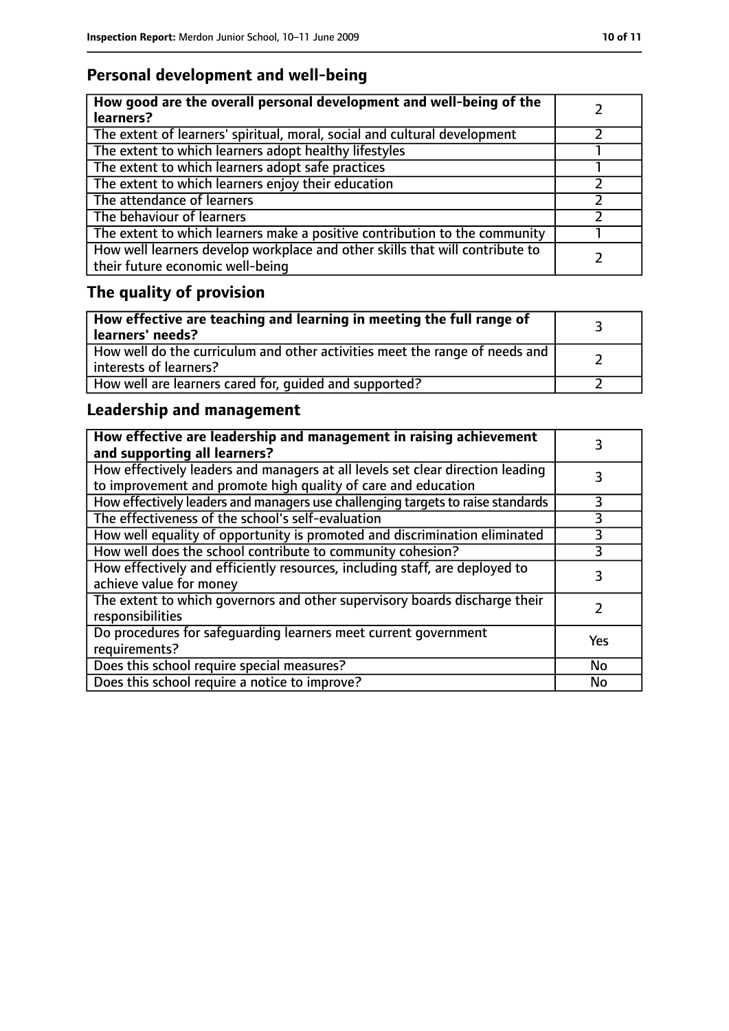### **Personal development and well-being**

| How good are the overall personal development and well-being of the<br>learners?                                 |  |
|------------------------------------------------------------------------------------------------------------------|--|
| The extent of learners' spiritual, moral, social and cultural development                                        |  |
| The extent to which learners adopt healthy lifestyles                                                            |  |
| The extent to which learners adopt safe practices                                                                |  |
| The extent to which learners enjoy their education                                                               |  |
| The attendance of learners                                                                                       |  |
| The behaviour of learners                                                                                        |  |
| The extent to which learners make a positive contribution to the community                                       |  |
| How well learners develop workplace and other skills that will contribute to<br>their future economic well-being |  |

### **The quality of provision**

| How effective are teaching and learning in meeting the full range of<br>learners' needs?              |  |
|-------------------------------------------------------------------------------------------------------|--|
| How well do the curriculum and other activities meet the range of needs and<br>interests of learners? |  |
| How well are learners cared for, quided and supported?                                                |  |

### **Leadership and management**

| How effective are leadership and management in raising achievement<br>and supporting all learners?                                              |     |
|-------------------------------------------------------------------------------------------------------------------------------------------------|-----|
| How effectively leaders and managers at all levels set clear direction leading<br>to improvement and promote high quality of care and education |     |
| How effectively leaders and managers use challenging targets to raise standards                                                                 | 3   |
| The effectiveness of the school's self-evaluation                                                                                               | 3   |
| How well equality of opportunity is promoted and discrimination eliminated                                                                      | 3   |
| How well does the school contribute to community cohesion?                                                                                      | 3   |
| How effectively and efficiently resources, including staff, are deployed to<br>achieve value for money                                          |     |
| The extent to which governors and other supervisory boards discharge their<br>responsibilities                                                  |     |
| Do procedures for safequarding learners meet current government<br>requirements?                                                                | Yes |
| Does this school require special measures?                                                                                                      | No  |
| Does this school require a notice to improve?                                                                                                   | No  |